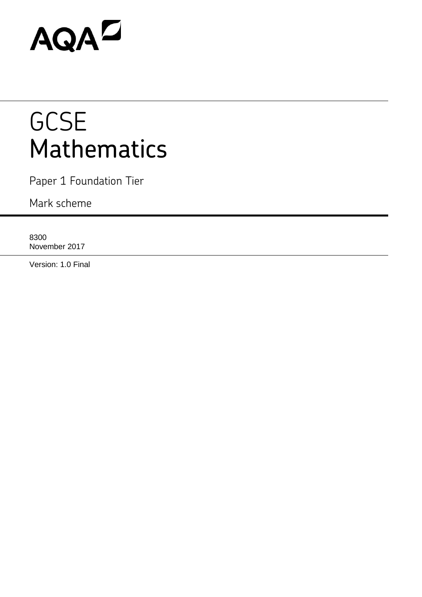# AQAD

## **GCSE** Mathematics

Paper 1 Foundation Tier

Mark scheme

8300 November 2017

Version: 1.0 Final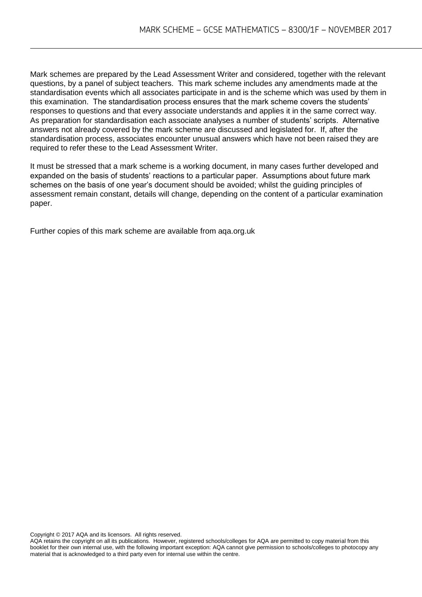Mark schemes are prepared by the Lead Assessment Writer and considered, together with the relevant questions, by a panel of subject teachers. This mark scheme includes any amendments made at the standardisation events which all associates participate in and is the scheme which was used by them in this examination. The standardisation process ensures that the mark scheme covers the students' responses to questions and that every associate understands and applies it in the same correct way. As preparation for standardisation each associate analyses a number of students' scripts. Alternative answers not already covered by the mark scheme are discussed and legislated for. If, after the standardisation process, associates encounter unusual answers which have not been raised they are required to refer these to the Lead Assessment Writer.

It must be stressed that a mark scheme is a working document, in many cases further developed and expanded on the basis of students' reactions to a particular paper. Assumptions about future mark schemes on the basis of one year's document should be avoided; whilst the guiding principles of assessment remain constant, details will change, depending on the content of a particular examination paper.

Further copies of this mark scheme are available from aqa.org.uk

Copyright © 2017 AQA and its licensors. All rights reserved.

AQA retains the copyright on all its publications. However, registered schools/colleges for AQA are permitted to copy material from this booklet for their own internal use, with the following important exception: AQA cannot give permission to schools/colleges to photocopy any material that is acknowledged to a third party even for internal use within the centre.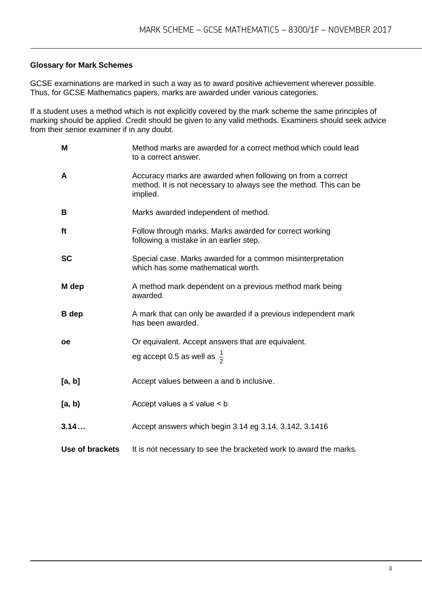#### **Glossary for Mark Schemes**

GCSE examinations are marked in such a way as to award positive achievement wherever possible. Thus, for GCSE Mathematics papers, marks are awarded under various categories.

If a student uses a method which is not explicitly covered by the mark scheme the same principles of marking should be applied. Credit should be given to any valid methods. Examiners should seek advice from their senior examiner if in any doubt.

| M               | Method marks are awarded for a correct method which could lead<br>to a correct answer.                                                       |
|-----------------|----------------------------------------------------------------------------------------------------------------------------------------------|
| A               | Accuracy marks are awarded when following on from a correct<br>method. It is not necessary to always see the method. This can be<br>implied. |
| B               | Marks awarded independent of method.                                                                                                         |
| ft              | Follow through marks. Marks awarded for correct working<br>following a mistake in an earlier step.                                           |
| <b>SC</b>       | Special case. Marks awarded for a common misinterpretation<br>which has some mathematical worth.                                             |
| M dep           | A method mark dependent on a previous method mark being<br>awarded.                                                                          |
| <b>B</b> dep    | A mark that can only be awarded if a previous independent mark<br>has been awarded.                                                          |
| <b>oe</b>       | Or equivalent. Accept answers that are equivalent.                                                                                           |
|                 | eg accept 0.5 as well as $\frac{1}{2}$                                                                                                       |
| [a, b]          | Accept values between a and b inclusive.                                                                                                     |
| [a, b)          | Accept values $a \leq$ value $\leq b$                                                                                                        |
| 3.14            | Accept answers which begin 3.14 eg 3.14, 3.142, 3.1416                                                                                       |
| Use of brackets | It is not necessary to see the bracketed work to award the marks.                                                                            |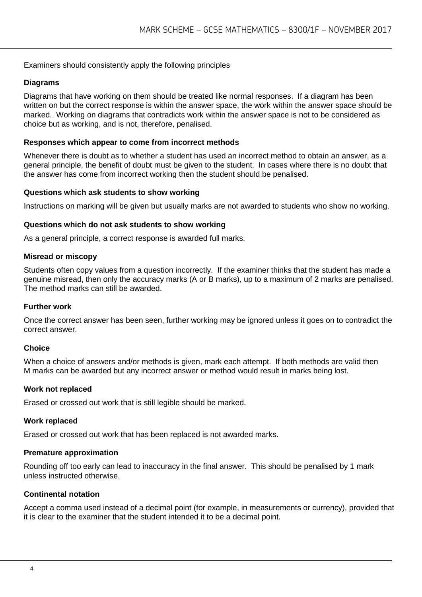#### Examiners should consistently apply the following principles

#### **Diagrams**

Diagrams that have working on them should be treated like normal responses. If a diagram has been written on but the correct response is within the answer space, the work within the answer space should be marked. Working on diagrams that contradicts work within the answer space is not to be considered as choice but as working, and is not, therefore, penalised.

#### **Responses which appear to come from incorrect methods**

Whenever there is doubt as to whether a student has used an incorrect method to obtain an answer, as a general principle, the benefit of doubt must be given to the student. In cases where there is no doubt that the answer has come from incorrect working then the student should be penalised.

#### **Questions which ask students to show working**

Instructions on marking will be given but usually marks are not awarded to students who show no working.

#### **Questions which do not ask students to show working**

As a general principle, a correct response is awarded full marks.

#### **Misread or miscopy**

Students often copy values from a question incorrectly. If the examiner thinks that the student has made a genuine misread, then only the accuracy marks (A or B marks), up to a maximum of 2 marks are penalised. The method marks can still be awarded.

#### **Further work**

Once the correct answer has been seen, further working may be ignored unless it goes on to contradict the correct answer.

#### **Choice**

When a choice of answers and/or methods is given, mark each attempt. If both methods are valid then M marks can be awarded but any incorrect answer or method would result in marks being lost.

#### **Work not replaced**

Erased or crossed out work that is still legible should be marked.

#### **Work replaced**

Erased or crossed out work that has been replaced is not awarded marks.

#### **Premature approximation**

Rounding off too early can lead to inaccuracy in the final answer. This should be penalised by 1 mark unless instructed otherwise.

#### **Continental notation**

Accept a comma used instead of a decimal point (for example, in measurements or currency), provided that it is clear to the examiner that the student intended it to be a decimal point.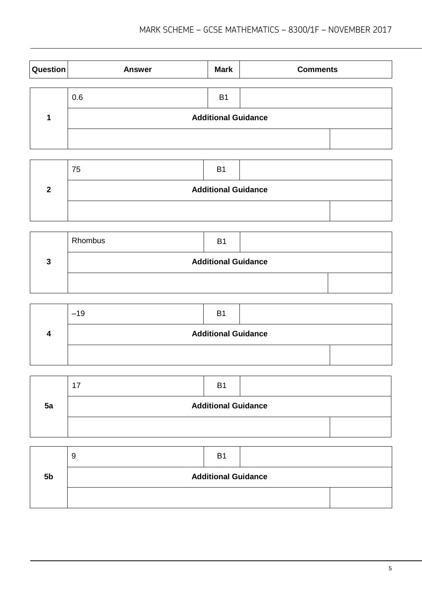| Question | <b>Answer</b> | <b>Mark</b>                | <b>Comments</b> |  |
|----------|---------------|----------------------------|-----------------|--|
|          |               |                            |                 |  |
|          | 0.6           | <b>B1</b>                  |                 |  |
|          |               | <b>Additional Guidance</b> |                 |  |
|          |               |                            |                 |  |

| 75                         | B <sub>1</sub> |  |  |  |
|----------------------------|----------------|--|--|--|
| <b>Additional Guidance</b> |                |  |  |  |
|                            |                |  |  |  |

|   | Rhombus                    | <b>B1</b> |  |  |  |  |
|---|----------------------------|-----------|--|--|--|--|
| っ | <b>Additional Guidance</b> |           |  |  |  |  |
|   |                            |           |  |  |  |  |

|  | $-19$                      | B <sub>1</sub> |  |  |
|--|----------------------------|----------------|--|--|
|  | <b>Additional Guidance</b> |                |  |  |
|  |                            |                |  |  |

|    | ⇁<br>1 | B <sub>1</sub>             |  |
|----|--------|----------------------------|--|
| 5a |        | <b>Additional Guidance</b> |  |
|    |        |                            |  |

|                | У                          | <b>B</b> 1 |  |  |
|----------------|----------------------------|------------|--|--|
| 5 <sub>b</sub> | <b>Additional Guidance</b> |            |  |  |
|                |                            |            |  |  |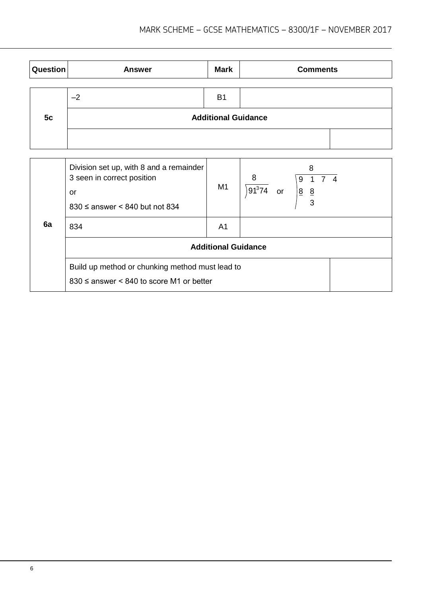| <b>Question</b> | <b>Answer</b> | <b>Mark</b>                | <b>Comments</b> |  |  |  |  |
|-----------------|---------------|----------------------------|-----------------|--|--|--|--|
|                 |               |                            |                 |  |  |  |  |
| 5c              | $-2$          | <b>B1</b>                  |                 |  |  |  |  |
|                 |               | <b>Additional Guidance</b> |                 |  |  |  |  |
|                 |               |                            |                 |  |  |  |  |

|    | Division set up, with 8 and a remainder<br>3 seen in correct position<br>or<br>$830 \leq$ answer < 840 but not 834 | M1                         | 8<br>8<br>74<br>9<br>$91^374$<br>$8 \frac{8}{5}$<br><b>or</b><br>3 |
|----|--------------------------------------------------------------------------------------------------------------------|----------------------------|--------------------------------------------------------------------|
| 6a | 834                                                                                                                | A <sub>1</sub>             |                                                                    |
|    |                                                                                                                    | <b>Additional Guidance</b> |                                                                    |
|    | Build up method or chunking method must lead to<br>$830 \leq$ answer < 840 to score M1 or better                   |                            |                                                                    |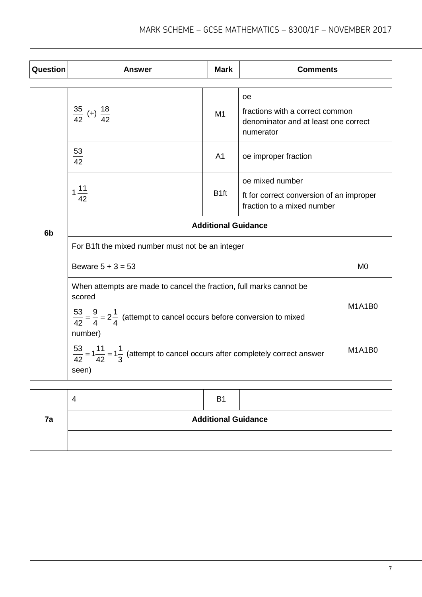| Question | <b>Answer</b>                                                                                                                                                                                                                                                                                                             | <b>Mark</b>      | <b>Comments</b>                                                                                   |                         |  |
|----------|---------------------------------------------------------------------------------------------------------------------------------------------------------------------------------------------------------------------------------------------------------------------------------------------------------------------------|------------------|---------------------------------------------------------------------------------------------------|-------------------------|--|
|          | $rac{35}{42}$ (+) $rac{18}{42}$                                                                                                                                                                                                                                                                                           | M1               | <b>oe</b><br>fractions with a correct common<br>denominator and at least one correct<br>numerator |                         |  |
|          | $\frac{53}{42}$                                                                                                                                                                                                                                                                                                           | A <sub>1</sub>   | oe improper fraction                                                                              |                         |  |
|          | $1\frac{11}{42}$                                                                                                                                                                                                                                                                                                          | B <sub>1ft</sub> | oe mixed number<br>ft for correct conversion of an improper<br>fraction to a mixed number         |                         |  |
| 6b       | <b>Additional Guidance</b>                                                                                                                                                                                                                                                                                                |                  |                                                                                                   |                         |  |
|          | For B1ft the mixed number must not be an integer                                                                                                                                                                                                                                                                          |                  |                                                                                                   |                         |  |
|          | Beware $5 + 3 = 53$                                                                                                                                                                                                                                                                                                       |                  |                                                                                                   | M <sub>0</sub>          |  |
|          | When attempts are made to cancel the fraction, full marks cannot be<br>scored<br>$\frac{53}{42} = \frac{9}{4} = 2\frac{1}{4}$ (attempt to cancel occurs before conversion to mixed<br>number)<br>$\frac{53}{42}$ = 1 $\frac{11}{42}$ = 1 $\frac{1}{3}$ (attempt to cancel occurs after completely correct answer<br>seen) |                  |                                                                                                   | <b>M1A1B0</b><br>M1A1B0 |  |
|          |                                                                                                                                                                                                                                                                                                                           |                  |                                                                                                   |                         |  |

|    |                            | B1 |  |  |
|----|----------------------------|----|--|--|
| 7a | <b>Additional Guidance</b> |    |  |  |
|    |                            |    |  |  |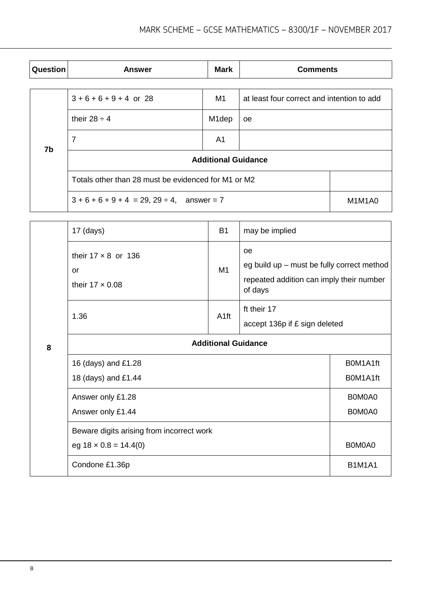| <b>Question</b> | <b>Answer</b>                                       | <b>Mark</b>        | <b>Comments</b>                            |        |  |  |
|-----------------|-----------------------------------------------------|--------------------|--------------------------------------------|--------|--|--|
|                 |                                                     |                    |                                            |        |  |  |
| 7b              | $3 + 6 + 6 + 9 + 4$ or 28                           | M1                 | at least four correct and intention to add |        |  |  |
|                 | their $28 \div 4$                                   | M <sub>1</sub> dep | <b>oe</b>                                  |        |  |  |
|                 | 7                                                   | A <sub>1</sub>     |                                            |        |  |  |
|                 | <b>Additional Guidance</b>                          |                    |                                            |        |  |  |
|                 | Totals other than 28 must be evidenced for M1 or M2 |                    |                                            |        |  |  |
|                 | $3 + 6 + 6 + 9 + 4 = 29$ , $29 \div 4$ , answer = 7 |                    |                                            | M1M1A0 |  |  |

|   | $17$ (days)                                                               | <b>B1</b>            | may be implied                                                                                                 |  |  |  |
|---|---------------------------------------------------------------------------|----------------------|----------------------------------------------------------------------------------------------------------------|--|--|--|
|   | their $17 \times 8$ or $136$<br>or<br>their $17 \times 0.08$              | M1                   | <b>oe</b><br>eg build up - must be fully correct method<br>repeated addition can imply their number<br>of days |  |  |  |
|   | 1.36                                                                      | A <sub>1ft</sub>     | ft their 17<br>accept 136p if £ sign deleted                                                                   |  |  |  |
| 8 | <b>Additional Guidance</b>                                                |                      |                                                                                                                |  |  |  |
|   | 16 (days) and £1.28<br>18 (days) and £1.44                                | B0M1A1ft<br>B0M1A1ft |                                                                                                                |  |  |  |
|   | Answer only £1.28<br>Answer only £1.44                                    | B0M0A0<br>B0M0A0     |                                                                                                                |  |  |  |
|   | Beware digits arising from incorrect work<br>eg $18 \times 0.8 = 14.4(0)$ | B0M0A0               |                                                                                                                |  |  |  |
|   | Condone £1.36p                                                            | <b>B1M1A1</b>        |                                                                                                                |  |  |  |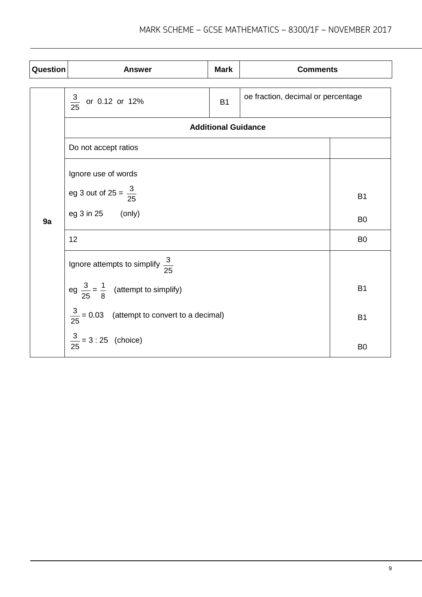| <b>Question</b> | <b>Answer</b>                                           | <b>Mark</b>                        | <b>Comments</b> |                |  |  |
|-----------------|---------------------------------------------------------|------------------------------------|-----------------|----------------|--|--|
|                 |                                                         | oe fraction, decimal or percentage |                 |                |  |  |
|                 | $\frac{3}{25}$ or 0.12 or 12%                           |                                    |                 |                |  |  |
|                 |                                                         | <b>Additional Guidance</b>         |                 |                |  |  |
|                 | Do not accept ratios                                    |                                    |                 |                |  |  |
|                 | Ignore use of words                                     |                                    |                 |                |  |  |
|                 | eg 3 out of 25 = $\frac{3}{25}$                         | <b>B1</b>                          |                 |                |  |  |
| 9a              | eg 3 in 25 (only)                                       |                                    |                 | B <sub>0</sub> |  |  |
|                 | 12                                                      |                                    |                 | B <sub>0</sub> |  |  |
|                 | Ignore attempts to simplify $\frac{3}{25}$              |                                    |                 |                |  |  |
|                 | eg $\frac{3}{25} = \frac{1}{8}$ (attempt to simplify)   | <b>B1</b>                          |                 |                |  |  |
|                 | $\frac{3}{25}$ = 0.03 (attempt to convert to a decimal) | <b>B1</b>                          |                 |                |  |  |
|                 | $\frac{3}{25}$ = 3 : 25 (choice)                        | B <sub>0</sub>                     |                 |                |  |  |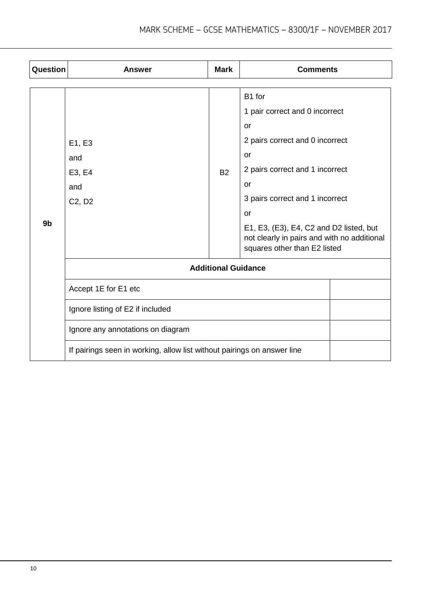| Question       | <b>Answer</b>                                                           | <b>Mark</b> | <b>Comments</b>                                                                                                        |  |  |  |
|----------------|-------------------------------------------------------------------------|-------------|------------------------------------------------------------------------------------------------------------------------|--|--|--|
|                |                                                                         |             |                                                                                                                        |  |  |  |
|                |                                                                         |             | B1 for                                                                                                                 |  |  |  |
|                |                                                                         |             | 1 pair correct and 0 incorrect                                                                                         |  |  |  |
|                |                                                                         |             | <b>or</b>                                                                                                              |  |  |  |
|                | E1, E3                                                                  |             | 2 pairs correct and 0 incorrect                                                                                        |  |  |  |
|                | and                                                                     |             | <b>or</b>                                                                                                              |  |  |  |
|                | E3, E4                                                                  | <b>B2</b>   | 2 pairs correct and 1 incorrect                                                                                        |  |  |  |
|                | and                                                                     |             | <b>or</b>                                                                                                              |  |  |  |
|                | C <sub>2</sub> , D <sub>2</sub>                                         |             | 3 pairs correct and 1 incorrect                                                                                        |  |  |  |
|                |                                                                         |             | <b>or</b>                                                                                                              |  |  |  |
| 9 <sub>b</sub> |                                                                         |             | E1, E3, (E3), E4, C2 and D2 listed, but<br>not clearly in pairs and with no additional<br>squares other than E2 listed |  |  |  |
|                | <b>Additional Guidance</b>                                              |             |                                                                                                                        |  |  |  |
|                | Accept 1E for E1 etc                                                    |             |                                                                                                                        |  |  |  |
|                | Ignore listing of E2 if included                                        |             |                                                                                                                        |  |  |  |
|                | Ignore any annotations on diagram                                       |             |                                                                                                                        |  |  |  |
|                | If pairings seen in working, allow list without pairings on answer line |             |                                                                                                                        |  |  |  |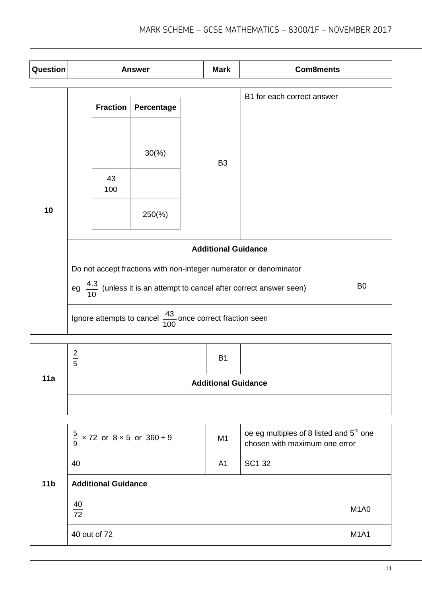| Question | <b>Answer</b>                                                                                                                                                            |                              |                                                     |  | <b>Mark</b>    | <b>Com8ments</b>           |  |
|----------|--------------------------------------------------------------------------------------------------------------------------------------------------------------------------|------------------------------|-----------------------------------------------------|--|----------------|----------------------------|--|
| 10       |                                                                                                                                                                          | <b>Fraction</b><br>43<br>100 | Percentage<br>$30\frac{\%}{90}$<br>$250\frac{6}{6}$ |  | B <sub>3</sub> | B1 for each correct answer |  |
|          | <b>Additional Guidance</b>                                                                                                                                               |                              |                                                     |  |                |                            |  |
|          | Do not accept fractions with non-integer numerator or denominator<br>eg $\frac{4.3}{10}$ (unless it is an attempt to cancel after correct answer seen)<br>B <sub>0</sub> |                              |                                                     |  |                |                            |  |
|          | Ignore attempts to cancel $\frac{43}{100}$ once correct fraction seen                                                                                                    |                              |                                                     |  |                |                            |  |

| 11a | c<br>Ð                     | <b>B1</b> |  |  |
|-----|----------------------------|-----------|--|--|
|     | <b>Additional Guidance</b> |           |  |  |
|     |                            |           |  |  |

|                 | $\frac{5}{1}$<br>$\times$ 72 or 8 $\times$ 5 or 360 ÷ 9<br>9 | M <sub>1</sub> | oe eg multiples of 8 listed and 5 <sup>th</sup> one<br>chosen with maximum one error |                               |  |  |
|-----------------|--------------------------------------------------------------|----------------|--------------------------------------------------------------------------------------|-------------------------------|--|--|
|                 | 40                                                           | A <sub>1</sub> | SC1 32                                                                               |                               |  |  |
| 11 <sub>b</sub> | <b>Additional Guidance</b>                                   |                |                                                                                      |                               |  |  |
|                 | $\frac{40}{72}$                                              |                |                                                                                      | M <sub>1</sub> A <sub>0</sub> |  |  |
|                 | 40 out of 72                                                 |                |                                                                                      | <b>M1A1</b>                   |  |  |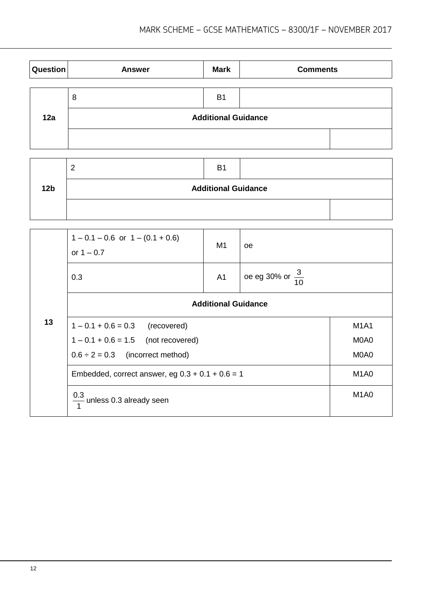| Question | <b>Answer</b> | <b>Mark</b>                | <b>Comments</b> |  |  |  |
|----------|---------------|----------------------------|-----------------|--|--|--|
|          | 8             | B <sub>1</sub>             |                 |  |  |  |
| 12a      |               | <b>Additional Guidance</b> |                 |  |  |  |
|          |               |                            |                 |  |  |  |

|                 |                            | <b>B1</b> |  |  |  |  |  |  |
|-----------------|----------------------------|-----------|--|--|--|--|--|--|
| 12 <sub>b</sub> | <b>Additional Guidance</b> |           |  |  |  |  |  |  |
|                 |                            |           |  |  |  |  |  |  |

|    | $1 - 0.1 - 0.6$ or $1 - (0.1 + 0.6)$<br>or $1 - 0.7$ | M1             | oe                          |                               |  |
|----|------------------------------------------------------|----------------|-----------------------------|-------------------------------|--|
|    | 0.3                                                  | A <sub>1</sub> | oe eg 30% or $\frac{3}{10}$ |                               |  |
|    | <b>Additional Guidance</b>                           |                |                             |                               |  |
| 13 | $1 - 0.1 + 0.6 = 0.3$ (recovered)                    |                |                             | <b>M1A1</b>                   |  |
|    | $1 - 0.1 + 0.6 = 1.5$ (not recovered)                |                |                             | M0A0                          |  |
|    | $0.6 \div 2 = 0.3$ (incorrect method)                |                |                             | M0A0                          |  |
|    | Embedded, correct answer, eg $0.3 + 0.1 + 0.6 = 1$   |                |                             | M <sub>1</sub> A <sub>0</sub> |  |
|    | $\frac{0.3}{1}$ unless 0.3 already seen              |                |                             | M <sub>1</sub> A <sub>0</sub> |  |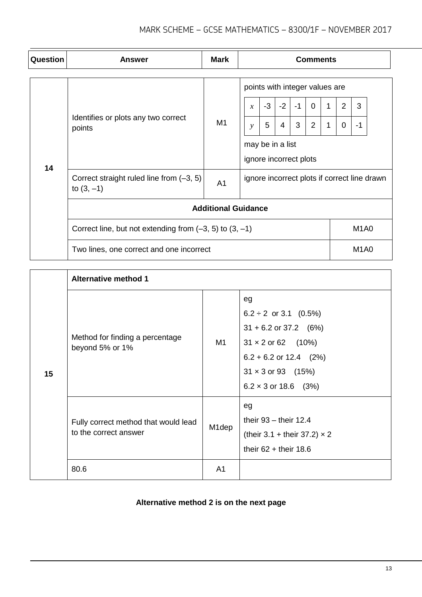| Question | <b>Answer</b>                                                                                                              | <b>Mark</b>                   | <b>Comments</b>                                                                                                                                                                                                                                   |  |  |  |  |  |                               |  |
|----------|----------------------------------------------------------------------------------------------------------------------------|-------------------------------|---------------------------------------------------------------------------------------------------------------------------------------------------------------------------------------------------------------------------------------------------|--|--|--|--|--|-------------------------------|--|
| 14       | Identifies or plots any two correct<br>points                                                                              | M1                            | points with integer values are<br>$-3$<br>$-2$<br>$\overline{2}$<br>3<br>$-1$<br>$\mathbf 0$<br>1<br>$\mathcal{X}$<br>3<br>$\overline{2}$<br>5<br>$\overline{4}$<br>1<br>0<br>$-1$<br>$\mathcal{V}$<br>may be in a list<br>ignore incorrect plots |  |  |  |  |  |                               |  |
|          | Correct straight ruled line from (-3, 5)<br>ignore incorrect plots if correct line drawn<br>A <sub>1</sub><br>to $(3, -1)$ |                               |                                                                                                                                                                                                                                                   |  |  |  |  |  |                               |  |
|          | <b>Additional Guidance</b>                                                                                                 |                               |                                                                                                                                                                                                                                                   |  |  |  |  |  |                               |  |
|          | Correct line, but not extending from $(-3, 5)$ to $(3, -1)$                                                                |                               |                                                                                                                                                                                                                                                   |  |  |  |  |  | M <sub>1</sub> A <sub>0</sub> |  |
|          | Two lines, one correct and one incorrect                                                                                   | M <sub>1</sub> A <sub>0</sub> |                                                                                                                                                                                                                                                   |  |  |  |  |  |                               |  |

|    | <b>Alternative method 1</b>                                   |                |                                                                                                                                                                                  |  |  |
|----|---------------------------------------------------------------|----------------|----------------------------------------------------------------------------------------------------------------------------------------------------------------------------------|--|--|
| 15 | Method for finding a percentage<br>beyond 5% or 1%            | M1             | eg<br>$6.2 \div 2$ or 3.1 (0.5%)<br>$31 + 6.2$ or 37.2 (6%)<br>$31 \times 2$ or 62 (10%)<br>$6.2 + 6.2$ or 12.4 (2%)<br>$31 \times 3$ or 93 (15%)<br>$6.2 \times 3$ or 18.6 (3%) |  |  |
|    | Fully correct method that would lead<br>to the correct answer | M1dep          | eg<br>their $93 -$ their 12.4<br>(their 3.1 + their 37.2) $\times$ 2<br>their $62 +$ their 18.6                                                                                  |  |  |
|    | 80.6                                                          | A <sub>1</sub> |                                                                                                                                                                                  |  |  |

### **Alternative method 2 is on the next page**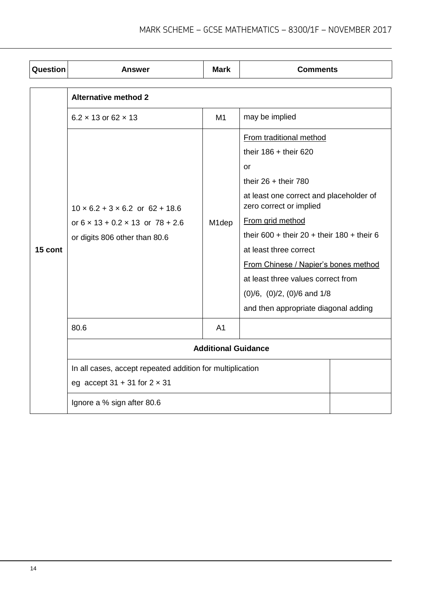| Question | Answer                                                                                                                           | <b>Mark</b>                | <b>Comments</b>                                                    |  |  |  |
|----------|----------------------------------------------------------------------------------------------------------------------------------|----------------------------|--------------------------------------------------------------------|--|--|--|
|          | <b>Alternative method 2</b>                                                                                                      |                            |                                                                    |  |  |  |
|          | $6.2 \times 13$ or 62 $\times$ 13                                                                                                | M1                         | may be implied                                                     |  |  |  |
|          |                                                                                                                                  |                            | From traditional method<br>their $186 +$ their 620                 |  |  |  |
|          |                                                                                                                                  |                            | or<br>their $26 +$ their 780                                       |  |  |  |
|          | $10 \times 6.2 + 3 \times 6.2$ or $62 + 18.6$<br>or $6 \times 13 + 0.2 \times 13$ or $78 + 2.6$<br>or digits 806 other than 80.6 | M <sub>1</sub> dep         | at least one correct and placeholder of<br>zero correct or implied |  |  |  |
|          |                                                                                                                                  |                            | From grid method                                                   |  |  |  |
|          |                                                                                                                                  |                            | their 600 + their 20 + their 180 + their 6                         |  |  |  |
| 15 cont  |                                                                                                                                  |                            | at least three correct                                             |  |  |  |
|          |                                                                                                                                  |                            | From Chinese / Napier's bones method                               |  |  |  |
|          |                                                                                                                                  |                            | at least three values correct from                                 |  |  |  |
|          |                                                                                                                                  |                            | $(0)/6$ , $(0)/2$ , $(0)/6$ and $1/8$                              |  |  |  |
|          |                                                                                                                                  |                            | and then appropriate diagonal adding                               |  |  |  |
|          | 80.6                                                                                                                             | A <sub>1</sub>             |                                                                    |  |  |  |
|          |                                                                                                                                  | <b>Additional Guidance</b> |                                                                    |  |  |  |
|          | In all cases, accept repeated addition for multiplication                                                                        |                            |                                                                    |  |  |  |
|          | eg accept $31 + 31$ for $2 \times 31$                                                                                            |                            |                                                                    |  |  |  |
|          | Ignore a % sign after 80.6                                                                                                       |                            |                                                                    |  |  |  |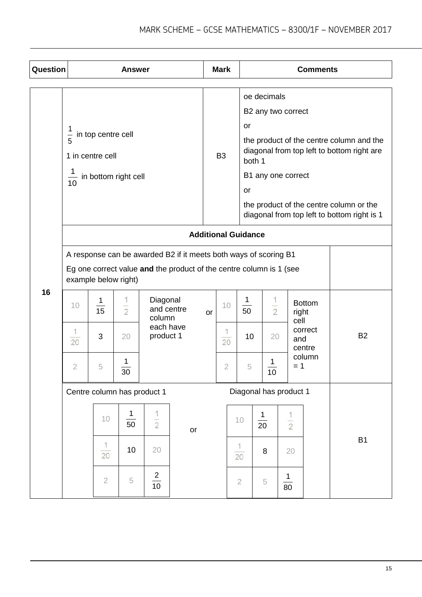| Question | <b>Answer</b>                                                                                                                                                   |                             |                |                                  | <b>Mark</b>    |                 |                                                                   |            | <b>Comments</b>        |                                                                                                                                                                                  |                 |                |
|----------|-----------------------------------------------------------------------------------------------------------------------------------------------------------------|-----------------------------|----------------|----------------------------------|----------------|-----------------|-------------------------------------------------------------------|------------|------------------------|----------------------------------------------------------------------------------------------------------------------------------------------------------------------------------|-----------------|----------------|
|          | 1<br>in top centre cell<br>$\frac{1}{5}$<br>1 in centre cell<br>1<br>in bottom right cell<br>10                                                                 |                             |                |                                  | B <sub>3</sub> | or<br><b>or</b> | oe decimals<br>B2 any two correct<br>both 1<br>B1 any one correct |            |                        | the product of the centre column and the<br>diagonal from top left to bottom right are<br>the product of the centre column or the<br>diagonal from top left to bottom right is 1 |                 |                |
|          | <b>Additional Guidance</b>                                                                                                                                      |                             |                |                                  |                |                 |                                                                   |            |                        |                                                                                                                                                                                  |                 |                |
|          | A response can be awarded B2 if it meets both ways of scoring B1<br>Eg one correct value and the product of the centre column is 1 (see<br>example below right) |                             |                |                                  |                |                 |                                                                   |            |                        |                                                                                                                                                                                  |                 |                |
| 16       | 10                                                                                                                                                              | 1<br>$\overline{15}$        | $\overline{2}$ | Diagonal<br>and centre<br>column | 10<br>or       |                 | $\mathbf{1}$<br>50                                                |            | $\overline{2}$         | <b>Bottom</b><br>right                                                                                                                                                           |                 |                |
|          | 1<br>20                                                                                                                                                         | 3                           | 20             | each have<br>product 1           |                | 1<br>20         | 10                                                                | 20         |                        | cell<br>correct<br>and<br>centre                                                                                                                                                 | <b>B2</b>       |                |
|          | $\overline{2}$                                                                                                                                                  | 5                           | 30             |                                  |                |                 | $\overline{2}$                                                    | 5          | 1<br>10                |                                                                                                                                                                                  | column<br>$= 1$ |                |
|          |                                                                                                                                                                 | Centre column has product 1 |                |                                  |                |                 |                                                                   |            | Diagonal has product 1 |                                                                                                                                                                                  |                 |                |
|          |                                                                                                                                                                 | 10                          | 1<br>50        | 1<br>$\overline{2}$              | or             |                 |                                                                   | 10         | $\frac{1}{20}$         | $\frac{1}{2}$                                                                                                                                                                    |                 |                |
|          |                                                                                                                                                                 | $\overline{20}$             | 10             | 20                               |                |                 |                                                                   | 1<br>20    | 8                      | 20                                                                                                                                                                               |                 | B <sub>1</sub> |
|          |                                                                                                                                                                 | $\sqrt{2}$                  | 5              | $\frac{2}{10}$                   |                |                 |                                                                   | $\sqrt{2}$ | $\,$ 5                 | 1<br>80                                                                                                                                                                          |                 |                |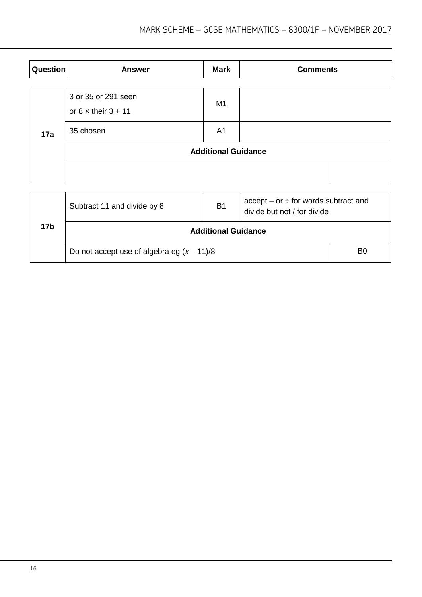| Question | <b>Answer</b>                                       | <b>Mark</b>    | <b>Comments</b> |  |  |  |
|----------|-----------------------------------------------------|----------------|-----------------|--|--|--|
|          | 3 or 35 or 291 seen<br>or $8 \times$ their $3 + 11$ | M <sub>1</sub> |                 |  |  |  |
| 17a      | 35 chosen                                           | A <sub>1</sub> |                 |  |  |  |
|          | <b>Additional Guidance</b>                          |                |                 |  |  |  |
|          |                                                     |                |                 |  |  |  |

|     | Subtract 11 and divide by 8                  | B <sub>1</sub> | $accept - or \div for words subtract and$<br>divide but not / for divide |  |  |  |
|-----|----------------------------------------------|----------------|--------------------------------------------------------------------------|--|--|--|
| 17b | <b>Additional Guidance</b>                   |                |                                                                          |  |  |  |
|     | Do not accept use of algebra eg $(x - 11)/8$ |                |                                                                          |  |  |  |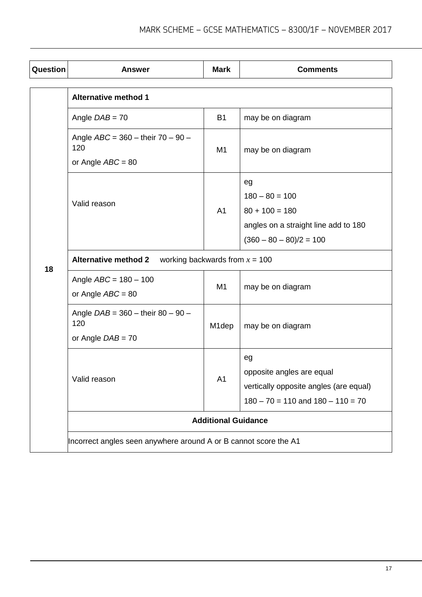| Question | <b>Answer</b>                                                     | <b>Mark</b>        | <b>Comments</b>                        |  |  |  |
|----------|-------------------------------------------------------------------|--------------------|----------------------------------------|--|--|--|
|          | <b>Alternative method 1</b>                                       |                    |                                        |  |  |  |
|          | Angle $DAB = 70$                                                  | <b>B1</b>          | may be on diagram                      |  |  |  |
|          | Angle $ABC = 360 -$ their $70 - 90 -$<br>120                      | M <sub>1</sub>     | may be on diagram                      |  |  |  |
|          | or Angle $ABC = 80$                                               |                    |                                        |  |  |  |
|          |                                                                   |                    | eg                                     |  |  |  |
|          | Valid reason                                                      |                    | $180 - 80 = 100$                       |  |  |  |
|          |                                                                   | A1                 | $80 + 100 = 180$                       |  |  |  |
|          |                                                                   |                    | angles on a straight line add to 180   |  |  |  |
|          |                                                                   |                    | $(360 - 80 - 80)/2 = 100$              |  |  |  |
| 18       | <b>Alternative method 2</b><br>working backwards from $x = 100$   |                    |                                        |  |  |  |
|          | Angle $ABC = 180 - 100$<br>or Angle $ABC = 80$                    | M1                 | may be on diagram                      |  |  |  |
|          | Angle $DAB = 360 -$ their 80 - 90 -<br>120<br>or Angle $DAB = 70$ | M <sub>1</sub> dep | may be on diagram                      |  |  |  |
|          |                                                                   |                    | eg                                     |  |  |  |
|          | Valid reason                                                      | A <sub>1</sub>     | opposite angles are equal              |  |  |  |
|          |                                                                   |                    | vertically opposite angles (are equal) |  |  |  |
|          |                                                                   |                    | $180 - 70 = 110$ and $180 - 110 = 70$  |  |  |  |
|          | <b>Additional Guidance</b>                                        |                    |                                        |  |  |  |
|          | Incorrect angles seen anywhere around A or B cannot score the A1  |                    |                                        |  |  |  |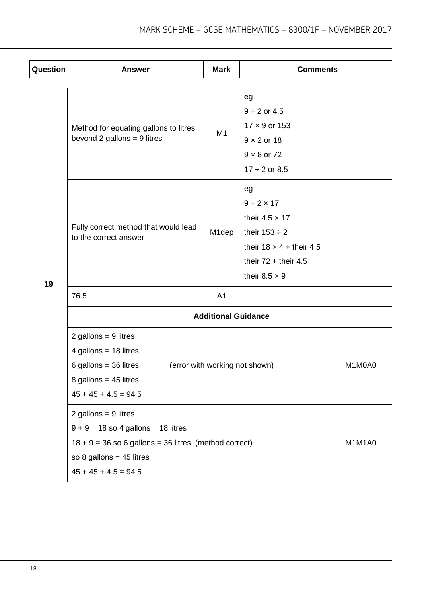| Question | <b>Answer</b>                                                          | <b>Mark</b>        | <b>Comments</b>                 |        |  |  |  |
|----------|------------------------------------------------------------------------|--------------------|---------------------------------|--------|--|--|--|
|          |                                                                        |                    |                                 |        |  |  |  |
|          |                                                                        |                    | eg                              |        |  |  |  |
|          |                                                                        |                    | $9 \div 2$ or 4.5               |        |  |  |  |
|          | Method for equating gallons to litres<br>beyond 2 gallons = $9$ litres | M1                 | $17 \times 9$ or 153            |        |  |  |  |
|          |                                                                        |                    | $9 \times 2$ or 18              |        |  |  |  |
|          |                                                                        |                    | $9 \times 8$ or 72              |        |  |  |  |
|          |                                                                        |                    | $17 \div 2$ or 8.5              |        |  |  |  |
|          |                                                                        |                    | eg                              |        |  |  |  |
|          |                                                                        |                    | $9 \div 2 \times 17$            |        |  |  |  |
|          | Fully correct method that would lead                                   | M <sub>1</sub> dep | their $4.5 \times 17$           |        |  |  |  |
|          | to the correct answer                                                  |                    | their $153 \div 2$              |        |  |  |  |
|          |                                                                        |                    | their $18 \times 4 +$ their 4.5 |        |  |  |  |
|          |                                                                        |                    | their $72 +$ their 4.5          |        |  |  |  |
| 19       |                                                                        |                    | their $8.5 \times 9$            |        |  |  |  |
|          | 76.5                                                                   | A <sub>1</sub>     |                                 |        |  |  |  |
|          | <b>Additional Guidance</b>                                             |                    |                                 |        |  |  |  |
|          | 2 gallons = $9$ litres                                                 |                    |                                 |        |  |  |  |
|          | 4 gallons = $18$ litres                                                |                    |                                 |        |  |  |  |
|          | 6 gallons = $36$ litres                                                |                    | (error with working not shown)  | M1M0A0 |  |  |  |
|          | 8 gallons = $45$ litres                                                |                    |                                 |        |  |  |  |
|          | $45 + 45 + 4.5 = 94.5$                                                 |                    |                                 |        |  |  |  |
|          | 2 gallons = $9$ litres                                                 |                    |                                 |        |  |  |  |
|          | $9 + 9 = 18$ so 4 gallons = 18 litres                                  |                    |                                 |        |  |  |  |
|          | $18 + 9 = 36$ so 6 gallons = 36 litres (method correct)                |                    |                                 | M1M1A0 |  |  |  |
|          | so 8 gallons = $45$ litres                                             |                    |                                 |        |  |  |  |
|          | $45 + 45 + 4.5 = 94.5$                                                 |                    |                                 |        |  |  |  |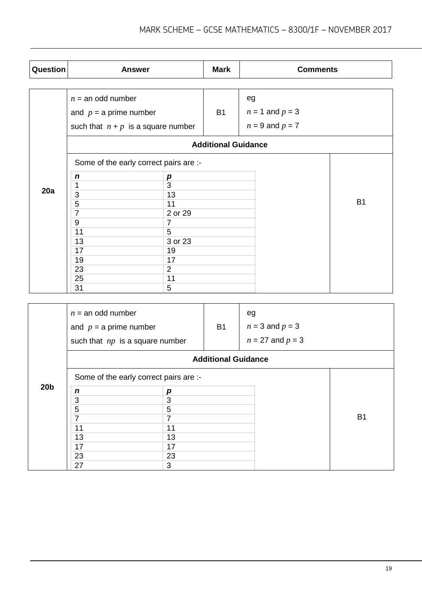| Question | <b>Answer</b>                          |                | <b>Mark</b> | <b>Comments</b>     |           |  |  |
|----------|----------------------------------------|----------------|-------------|---------------------|-----------|--|--|
|          |                                        |                |             |                     |           |  |  |
|          | $n =$ an odd number                    |                |             | eg                  |           |  |  |
|          | and $p = a$ prime number               |                | <b>B1</b>   | $n = 1$ and $p = 3$ |           |  |  |
|          | such that $n + p$ is a square number   |                |             | $n = 9$ and $p = 7$ |           |  |  |
|          | <b>Additional Guidance</b>             |                |             |                     |           |  |  |
|          | Some of the early correct pairs are :- |                |             |                     |           |  |  |
|          | $\boldsymbol{n}$                       | p              |             |                     |           |  |  |
|          | 1                                      | 3              |             |                     |           |  |  |
| 20a      | 3                                      | 13             |             |                     |           |  |  |
|          | $\overline{5}$                         | 11             |             |                     | <b>B1</b> |  |  |
|          | $\overline{7}$                         | 2 or 29        |             |                     |           |  |  |
|          | 9                                      | $\overline{7}$ |             |                     |           |  |  |
|          | 11                                     | 5              |             |                     |           |  |  |
|          | 13                                     | 3 or 23        |             |                     |           |  |  |
|          | 17                                     | 19             |             |                     |           |  |  |
|          | 19                                     | 17             |             |                     |           |  |  |
|          | 23                                     | $\overline{2}$ |             |                     |           |  |  |
|          | 25                                     | 11             |             |                     |           |  |  |
|          | 31                                     | 5              |             |                     |           |  |  |

|                 | $n =$ an odd number<br>and $p = a$ prime number<br>such that $np$ is a square number |    | <b>B1</b> | eg<br>$n = 3$ and $p = 3$<br>$n = 27$ and $p = 3$ |                |  |  |
|-----------------|--------------------------------------------------------------------------------------|----|-----------|---------------------------------------------------|----------------|--|--|
|                 | <b>Additional Guidance</b>                                                           |    |           |                                                   |                |  |  |
|                 | Some of the early correct pairs are :-                                               |    |           |                                                   |                |  |  |
| 20 <sub>b</sub> | n                                                                                    | p  |           |                                                   |                |  |  |
|                 | 3                                                                                    | 3  |           |                                                   |                |  |  |
|                 | 5                                                                                    | 5  |           |                                                   |                |  |  |
|                 | $\overline{7}$                                                                       | 7  |           |                                                   | B <sub>1</sub> |  |  |
|                 | 11                                                                                   | 11 |           |                                                   |                |  |  |
|                 | 13                                                                                   | 13 |           |                                                   |                |  |  |
|                 | 17                                                                                   | 17 |           |                                                   |                |  |  |
|                 | 23                                                                                   | 23 |           |                                                   |                |  |  |
|                 | 27                                                                                   | 3  |           |                                                   |                |  |  |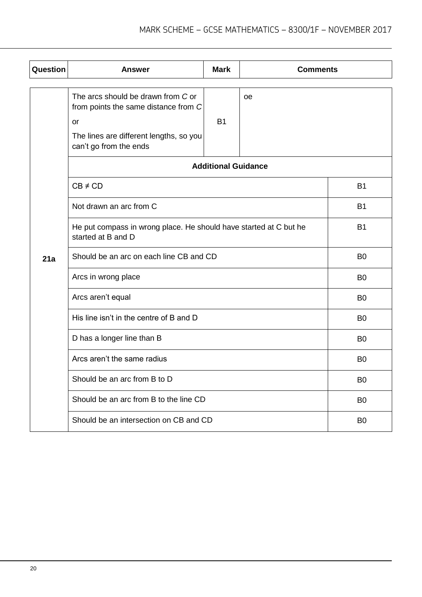| Question | <b>Answer</b>                                                                                                                                                                              | <b>Mark</b>    | <b>Comments</b> |                |  |
|----------|--------------------------------------------------------------------------------------------------------------------------------------------------------------------------------------------|----------------|-----------------|----------------|--|
|          | The arcs should be drawn from C or<br>from points the same distance from C<br><b>or</b><br>The lines are different lengths, so you<br>can't go from the ends<br><b>Additional Guidance</b> |                |                 |                |  |
|          | $CB \neq CD$                                                                                                                                                                               |                |                 | <b>B1</b>      |  |
|          | Not drawn an arc from C                                                                                                                                                                    | <b>B1</b>      |                 |                |  |
|          | He put compass in wrong place. He should have started at C but he<br>started at B and D                                                                                                    | <b>B1</b>      |                 |                |  |
| 21a      | Should be an arc on each line CB and CD                                                                                                                                                    | B <sub>0</sub> |                 |                |  |
|          | Arcs in wrong place                                                                                                                                                                        | B <sub>0</sub> |                 |                |  |
|          | Arcs aren't equal                                                                                                                                                                          | B <sub>0</sub> |                 |                |  |
|          | His line isn't in the centre of B and D                                                                                                                                                    | B <sub>0</sub> |                 |                |  |
|          | D has a longer line than B                                                                                                                                                                 |                |                 | B <sub>0</sub> |  |
|          | Arcs aren't the same radius                                                                                                                                                                |                |                 | B <sub>0</sub> |  |
|          | Should be an arc from B to D                                                                                                                                                               |                |                 | B <sub>0</sub> |  |
|          | Should be an arc from B to the line CD                                                                                                                                                     |                |                 | B <sub>0</sub> |  |
|          | Should be an intersection on CB and CD                                                                                                                                                     | B <sub>0</sub> |                 |                |  |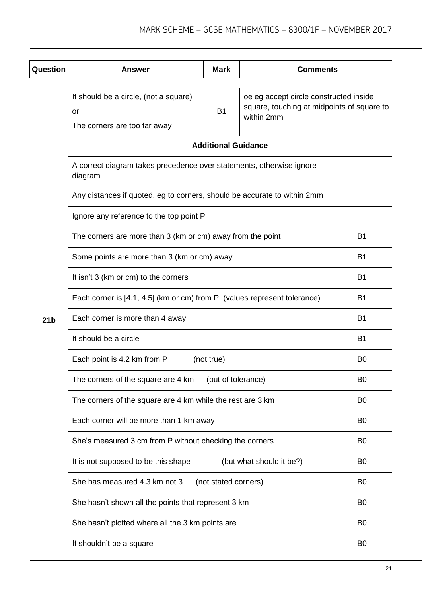| Question        | <b>Answer</b>                                                                   | <b>Mark</b>                                                                          | <b>Comments</b>          |                |
|-----------------|---------------------------------------------------------------------------------|--------------------------------------------------------------------------------------|--------------------------|----------------|
|                 | It should be a circle, (not a square)<br>or<br>The corners are too far away     | oe eg accept circle constructed inside<br>square, touching at midpoints of square to |                          |                |
|                 | <b>Additional Guidance</b>                                                      |                                                                                      |                          |                |
|                 | A correct diagram takes precedence over statements, otherwise ignore<br>diagram |                                                                                      |                          |                |
|                 | Any distances if quoted, eg to corners, should be accurate to within 2mm        |                                                                                      |                          |                |
|                 | Ignore any reference to the top point P                                         |                                                                                      |                          |                |
|                 | The corners are more than 3 (km or cm) away from the point                      |                                                                                      |                          | <b>B1</b>      |
|                 | Some points are more than 3 (km or cm) away                                     | <b>B1</b>                                                                            |                          |                |
|                 | It isn't 3 (km or cm) to the corners                                            | B <sub>1</sub>                                                                       |                          |                |
|                 | Each corner is [4.1, 4.5] (km or cm) from P (values represent tolerance)        | <b>B1</b>                                                                            |                          |                |
| 21 <sub>b</sub> | Each corner is more than 4 away                                                 | <b>B1</b>                                                                            |                          |                |
|                 | It should be a circle                                                           | <b>B1</b>                                                                            |                          |                |
|                 | Each point is 4.2 km from P<br>(not true)                                       | B <sub>0</sub>                                                                       |                          |                |
|                 | The corners of the square are 4 km                                              | B <sub>0</sub>                                                                       |                          |                |
|                 | The corners of the square are 4 km while the rest are 3 km                      | B <sub>0</sub>                                                                       |                          |                |
|                 | Each corner will be more than 1 km away                                         | B <sub>0</sub>                                                                       |                          |                |
|                 | She's measured 3 cm from P without checking the corners                         |                                                                                      |                          | B <sub>0</sub> |
|                 | It is not supposed to be this shape                                             |                                                                                      | (but what should it be?) | B <sub>0</sub> |
|                 | She has measured 4.3 km not 3                                                   | (not stated corners)                                                                 |                          | B <sub>0</sub> |
|                 | She hasn't shown all the points that represent 3 km                             |                                                                                      |                          | B <sub>0</sub> |
|                 | She hasn't plotted where all the 3 km points are                                |                                                                                      |                          | B <sub>0</sub> |
|                 | It shouldn't be a square                                                        |                                                                                      |                          | B <sub>0</sub> |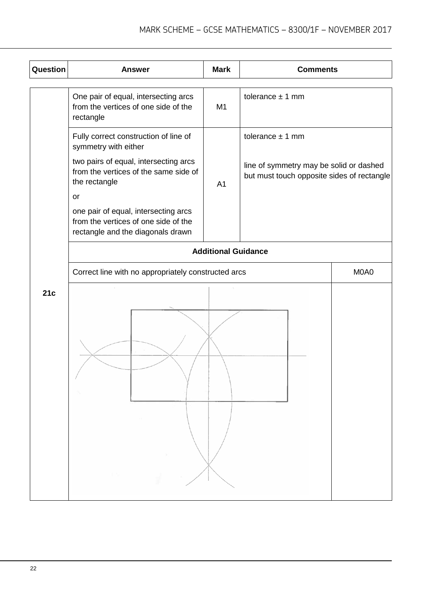| Question | <b>Answer</b>                                                                                                                                                                                                                                                                               | <b>Mark</b>                                                                           | <b>Comments</b>      |  |  |
|----------|---------------------------------------------------------------------------------------------------------------------------------------------------------------------------------------------------------------------------------------------------------------------------------------------|---------------------------------------------------------------------------------------|----------------------|--|--|
|          | One pair of equal, intersecting arcs<br>from the vertices of one side of the<br>rectangle                                                                                                                                                                                                   | M <sub>1</sub>                                                                        | tolerance $\pm$ 1 mm |  |  |
|          | Fully correct construction of line of<br>symmetry with either<br>two pairs of equal, intersecting arcs<br>from the vertices of the same side of<br>the rectangle<br>or<br>one pair of equal, intersecting arcs<br>from the vertices of one side of the<br>rectangle and the diagonals drawn | line of symmetry may be solid or dashed<br>but must touch opposite sides of rectangle |                      |  |  |
|          | <b>Additional Guidance</b>                                                                                                                                                                                                                                                                  |                                                                                       |                      |  |  |
|          | Correct line with no appropriately constructed arcs                                                                                                                                                                                                                                         | M0A0                                                                                  |                      |  |  |
| 21c      | 11.1                                                                                                                                                                                                                                                                                        |                                                                                       |                      |  |  |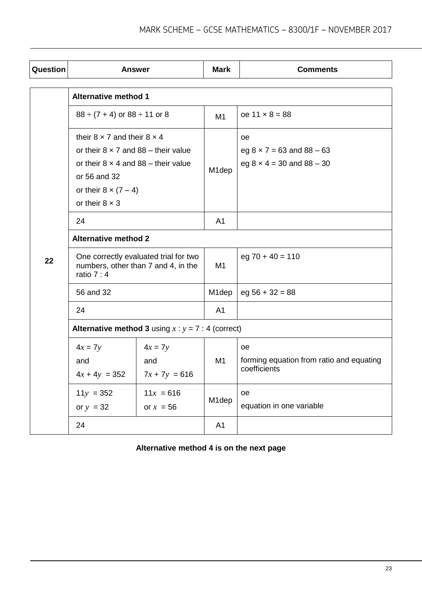| Question | <b>Answer</b>                                                                                                                                                                                                   |                                                                              | <b>Mark</b>        | <b>Comments</b>                                                                       |  |
|----------|-----------------------------------------------------------------------------------------------------------------------------------------------------------------------------------------------------------------|------------------------------------------------------------------------------|--------------------|---------------------------------------------------------------------------------------|--|
|          | <b>Alternative method 1</b>                                                                                                                                                                                     |                                                                              |                    |                                                                                       |  |
|          | $88 \div (7 + 4)$ or $88 \div 11$ or 8                                                                                                                                                                          |                                                                              | M1                 | $oe$ 11 $\times$ 8 = 88                                                               |  |
|          | their $8 \times 7$ and their $8 \times 4$<br>or their $8 \times 7$ and $88$ – their value<br>or their $8 \times 4$ and $88 -$ their value<br>or 56 and 32<br>or their $8 \times (7-4)$<br>or their $8 \times 3$ |                                                                              | M <sub>1</sub> dep | <b>oe</b><br>eg $8 \times 7 = 63$ and $88 - 63$<br>eg $8 \times 4 = 30$ and $88 - 30$ |  |
|          | 24                                                                                                                                                                                                              |                                                                              | A <sub>1</sub>     |                                                                                       |  |
|          | <b>Alternative method 2</b>                                                                                                                                                                                     |                                                                              |                    |                                                                                       |  |
| 22       | ratio $7:4$                                                                                                                                                                                                     | One correctly evaluated trial for two<br>numbers, other than 7 and 4, in the | M1                 | $eg 70 + 40 = 110$                                                                    |  |
|          | 56 and 32                                                                                                                                                                                                       |                                                                              | M <sub>1</sub> dep | $eg 56 + 32 = 88$                                                                     |  |
|          | 24                                                                                                                                                                                                              |                                                                              | A <sub>1</sub>     |                                                                                       |  |
|          | <b>Alternative method 3</b> using $x : y = 7 : 4$ (correct)                                                                                                                                                     |                                                                              |                    |                                                                                       |  |
|          | $4x = 7y$<br>and<br>$4x + 4y = 352$                                                                                                                                                                             | $4x = 7y$<br>and<br>$7x + 7y = 616$                                          | M <sub>1</sub>     | oe<br>forming equation from ratio and equating<br>coefficients                        |  |
|          | $11y = 352$<br>$11x = 616$<br>or $y = 32$<br>or $x = 56$                                                                                                                                                        |                                                                              | M1dep              | oe<br>equation in one variable                                                        |  |
|          | 24                                                                                                                                                                                                              |                                                                              | A1                 |                                                                                       |  |

**Alternative method 4 is on the next page**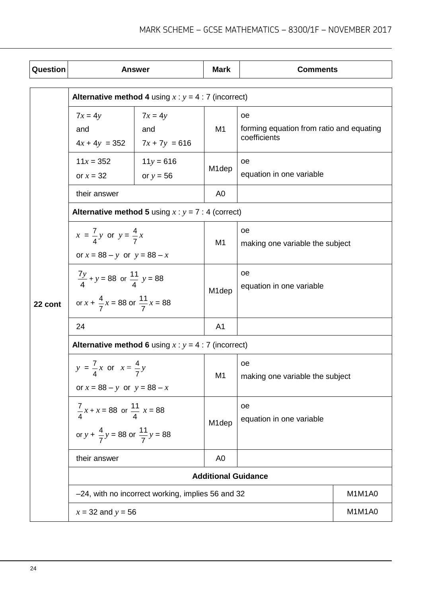| Question | <b>Answer</b>                                                                                          |                                                             | <b>Mark</b>        | <b>Comments</b>                                                |        |  |  |
|----------|--------------------------------------------------------------------------------------------------------|-------------------------------------------------------------|--------------------|----------------------------------------------------------------|--------|--|--|
|          | <b>Alternative method 4</b> using $x : y = 4 : 7$ (incorrect)                                          |                                                             |                    |                                                                |        |  |  |
|          | $7x = 4y$<br>$7x = 4y$<br>and<br>and<br>$4x + 4y = 352$<br>$7x + 7y = 616$                             |                                                             | M1                 | oe<br>forming equation from ratio and equating<br>coefficients |        |  |  |
|          | $11x = 352$<br>or $x = 32$                                                                             | $11y = 616$<br>or $y = 56$                                  | M1dep              | oe<br>equation in one variable                                 |        |  |  |
|          | their answer                                                                                           |                                                             | A <sub>0</sub>     |                                                                |        |  |  |
| 22 cont  |                                                                                                        | <b>Alternative method 5</b> using $x : y = 7 : 4$ (correct) |                    |                                                                |        |  |  |
|          | $x = \frac{7}{4}y$ or $y = \frac{4}{7}x$<br>or $x = 88 - y$ or $y = 88 - x$                            |                                                             | M <sub>1</sub>     | oe<br>making one variable the subject                          |        |  |  |
|          | $\frac{7y}{4} + y = 88$ or $\frac{11}{4}$ y = 88<br>or $x + \frac{4}{7}x = 88$ or $\frac{11}{7}x = 88$ |                                                             | M <sub>1</sub> dep | oe<br>equation in one variable                                 |        |  |  |
|          | 24                                                                                                     |                                                             | A <sub>1</sub>     |                                                                |        |  |  |
|          | <b>Alternative method 6</b> using $x : y = 4 : 7$ (incorrect)                                          |                                                             |                    |                                                                |        |  |  |
|          | $y = \frac{7}{4}x$ or $x = \frac{4}{7}y$<br>or $x = 88 - y$ or $y = 88 - x$                            |                                                             | M1                 | oe<br>making one variable the subject                          |        |  |  |
|          | $\frac{7}{4}x + x = 88$ or $\frac{11}{4}x = 88$<br>or $y + \frac{4}{7}y = 88$ or $\frac{11}{7}y = 88$  |                                                             | M <sub>1</sub> dep | oe<br>equation in one variable                                 |        |  |  |
|          | their answer                                                                                           |                                                             | A <sub>0</sub>     |                                                                |        |  |  |
|          | <b>Additional Guidance</b>                                                                             |                                                             |                    |                                                                |        |  |  |
|          |                                                                                                        | -24, with no incorrect working, implies 56 and 32           |                    |                                                                | M1M1A0 |  |  |
|          | $x = 32$ and $y = 56$                                                                                  |                                                             |                    |                                                                | M1M1A0 |  |  |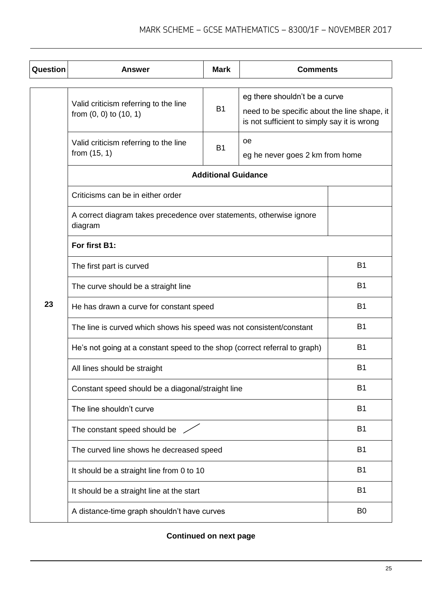| Question | <b>Answer</b>                                                                   | <b>Mark</b>                | <b>Comments</b>                                                                                                              |                |  |
|----------|---------------------------------------------------------------------------------|----------------------------|------------------------------------------------------------------------------------------------------------------------------|----------------|--|
|          | Valid criticism referring to the line<br>from $(0, 0)$ to $(10, 1)$             | <b>B1</b>                  | eg there shouldn't be a curve<br>need to be specific about the line shape, it<br>is not sufficient to simply say it is wrong |                |  |
|          | Valid criticism referring to the line<br>from $(15, 1)$                         | <b>B1</b>                  | oe<br>eg he never goes 2 km from home                                                                                        |                |  |
|          |                                                                                 | <b>Additional Guidance</b> |                                                                                                                              |                |  |
|          | Criticisms can be in either order                                               |                            |                                                                                                                              |                |  |
|          | A correct diagram takes precedence over statements, otherwise ignore<br>diagram |                            |                                                                                                                              |                |  |
|          | For first B1:                                                                   |                            |                                                                                                                              |                |  |
|          | The first part is curved                                                        |                            |                                                                                                                              | <b>B1</b>      |  |
|          | The curve should be a straight line                                             |                            |                                                                                                                              | <b>B1</b>      |  |
| 23       | He has drawn a curve for constant speed                                         | <b>B1</b>                  |                                                                                                                              |                |  |
|          | The line is curved which shows his speed was not consistent/constant            | <b>B1</b>                  |                                                                                                                              |                |  |
|          | He's not going at a constant speed to the shop (correct referral to graph)      | <b>B1</b>                  |                                                                                                                              |                |  |
|          | All lines should be straight                                                    |                            |                                                                                                                              | B <sub>1</sub> |  |
|          | Constant speed should be a diagonal/straight line                               |                            |                                                                                                                              | <b>B1</b>      |  |
|          | The line shouldn't curve                                                        |                            |                                                                                                                              | <b>B1</b>      |  |
|          | The constant speed should be /                                                  |                            |                                                                                                                              | <b>B1</b>      |  |
|          | The curved line shows he decreased speed                                        |                            |                                                                                                                              | <b>B1</b>      |  |
|          | It should be a straight line from 0 to 10                                       |                            |                                                                                                                              | <b>B1</b>      |  |
|          | It should be a straight line at the start                                       |                            |                                                                                                                              | <b>B1</b>      |  |
|          | A distance-time graph shouldn't have curves                                     |                            |                                                                                                                              | B <sub>0</sub> |  |

**Continued on next page**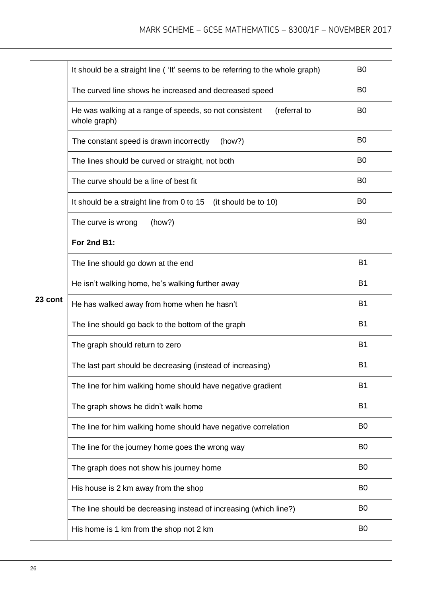|         | It should be a straight line ('It' seems to be referring to the whole graph)           | B <sub>0</sub> |
|---------|----------------------------------------------------------------------------------------|----------------|
|         | The curved line shows he increased and decreased speed                                 | B <sub>0</sub> |
|         | (referral to<br>He was walking at a range of speeds, so not consistent<br>whole graph) | B <sub>0</sub> |
|         | The constant speed is drawn incorrectly<br>(how?)                                      | B <sub>0</sub> |
|         | The lines should be curved or straight, not both                                       | B <sub>0</sub> |
|         | The curve should be a line of best fit                                                 | B <sub>0</sub> |
|         | It should be a straight line from 0 to 15<br>(it should be to 10)                      | B <sub>0</sub> |
|         | The curve is wrong<br>(how?)                                                           | B <sub>0</sub> |
|         | For 2nd B1:                                                                            |                |
|         | The line should go down at the end                                                     | <b>B1</b>      |
|         | He isn't walking home, he's walking further away                                       | <b>B1</b>      |
| 23 cont | He has walked away from home when he hasn't                                            | B <sub>1</sub> |
|         | The line should go back to the bottom of the graph                                     | <b>B1</b>      |
|         | The graph should return to zero                                                        | <b>B1</b>      |
|         | The last part should be decreasing (instead of increasing)                             | <b>B1</b>      |
|         | The line for him walking home should have negative gradient                            | <b>B1</b>      |
|         | The graph shows he didn't walk home                                                    | <b>B1</b>      |
|         | The line for him walking home should have negative correlation                         | B <sub>0</sub> |
|         | The line for the journey home goes the wrong way                                       | B <sub>0</sub> |
|         | The graph does not show his journey home                                               | B <sub>0</sub> |
|         | His house is 2 km away from the shop                                                   | B <sub>0</sub> |
|         | The line should be decreasing instead of increasing (which line?)                      | B <sub>0</sub> |
|         | His home is 1 km from the shop not 2 km                                                | B <sub>0</sub> |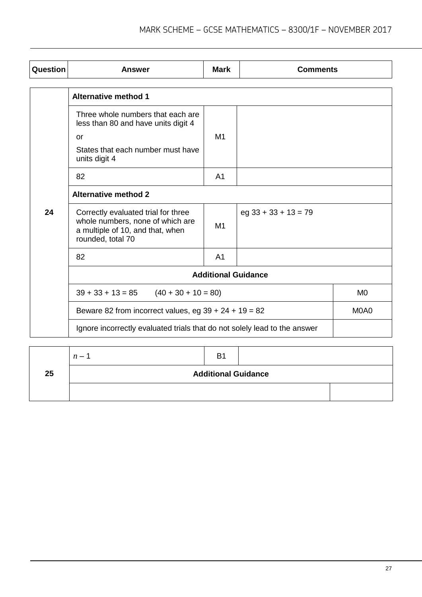| Question                    | <b>Answer</b>                                                                                                                    | <b>Mark</b>    | <b>Comments</b>        |                |
|-----------------------------|----------------------------------------------------------------------------------------------------------------------------------|----------------|------------------------|----------------|
|                             |                                                                                                                                  |                |                        |                |
|                             | <b>Alternative method 1</b>                                                                                                      |                |                        |                |
|                             | Three whole numbers that each are<br>less than 80 and have units digit 4                                                         |                |                        |                |
|                             | or                                                                                                                               | M1             |                        |                |
|                             | States that each number must have<br>units digit 4                                                                               |                |                        |                |
|                             | 82                                                                                                                               | A <sub>1</sub> |                        |                |
| <b>Alternative method 2</b> |                                                                                                                                  |                |                        |                |
| 24                          | Correctly evaluated trial for three<br>whole numbers, none of which are<br>a multiple of 10, and that, when<br>rounded, total 70 | M <sub>1</sub> | $eg$ 33 + 33 + 13 = 79 |                |
|                             | 82                                                                                                                               | A <sub>1</sub> |                        |                |
| <b>Additional Guidance</b>  |                                                                                                                                  |                |                        |                |
|                             | $39 + 33 + 13 = 85$<br>$(40 + 30 + 10 = 80)$                                                                                     |                |                        | M <sub>0</sub> |
|                             | Beware 82 from incorrect values, eg $39 + 24 + 19 = 82$                                                                          |                |                        | M0A0           |
|                             | Ignore incorrectly evaluated trials that do not solely lead to the answer                                                        |                |                        |                |

|    | $n -$                      | B <sub>1</sub> |  |  |
|----|----------------------------|----------------|--|--|
| 25 | <b>Additional Guidance</b> |                |  |  |
|    |                            |                |  |  |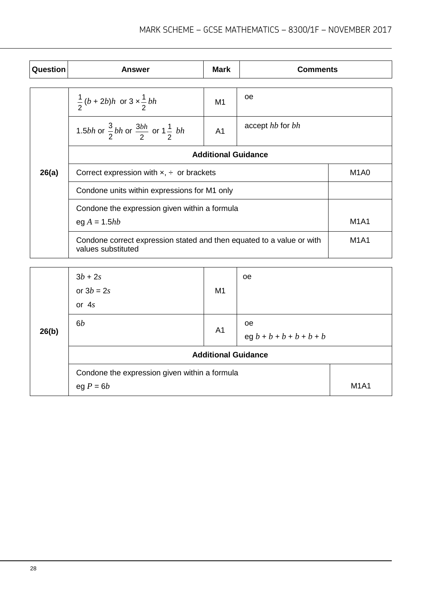| Question | <b>Answer</b>                                                                                                                                                                                     | <b>Mark</b>    | <b>Comments</b>  |             |
|----------|---------------------------------------------------------------------------------------------------------------------------------------------------------------------------------------------------|----------------|------------------|-------------|
|          |                                                                                                                                                                                                   |                |                  |             |
|          | $\frac{1}{2}(b+2b)h$ or $3 \times \frac{1}{2}bh$                                                                                                                                                  | M1             | oe               |             |
|          | 1.5 <i>bh</i> or $\frac{3}{2}$ <i>bh</i> or $\frac{3bh}{2}$ or 1 $\frac{1}{2}$ <i> bh</i>                                                                                                         | A <sub>1</sub> | accept hb for bh |             |
|          | <b>Additional Guidance</b><br>Correct expression with $x$ , $\div$ or brackets<br>Condone units within expressions for M1 only<br>Condone the expression given within a formula<br>eg $A = 1.5hb$ |                |                  |             |
| 26(a)    |                                                                                                                                                                                                   |                |                  |             |
|          |                                                                                                                                                                                                   |                |                  |             |
|          |                                                                                                                                                                                                   |                |                  |             |
|          |                                                                                                                                                                                                   |                |                  |             |
|          | Condone correct expression stated and then equated to a value or with<br>values substituted                                                                                                       |                |                  | <b>M1A1</b> |
|          |                                                                                                                                                                                                   |                |                  |             |

| 26(b) | $3b + 2s$<br>or $3b = 2s$<br>or $4s$                         | M <sub>1</sub> | oe                                          |             |
|-------|--------------------------------------------------------------|----------------|---------------------------------------------|-------------|
|       | 6b                                                           | A <sub>1</sub> | <sub>oe</sub><br>$eg b + b + b + b + b + b$ |             |
|       | <b>Additional Guidance</b>                                   |                |                                             |             |
|       | Condone the expression given within a formula<br>eg $P = 6b$ |                |                                             | <b>M1A1</b> |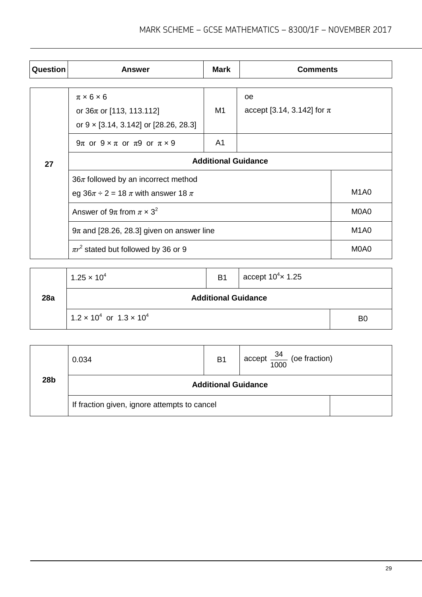| Question | <b>Answer</b>                                                                                                                                                      | <b>Mark</b> | <b>Comments</b>                      |                               |
|----------|--------------------------------------------------------------------------------------------------------------------------------------------------------------------|-------------|--------------------------------------|-------------------------------|
|          |                                                                                                                                                                    |             |                                      |                               |
|          | $\pi \times 6 \times 6$<br>or $36\pi$ or [113, 113.112]<br>or $9 \times [3.14, 3.142]$ or [28.26, 28.3]                                                            | M1          | oe<br>accept [3.14, 3.142] for $\pi$ |                               |
|          | $9\pi$ or $9 \times \pi$ or $\pi9$ or $\pi \times 9$                                                                                                               | A1          |                                      |                               |
| 27       | <b>Additional Guidance</b><br>$36\pi$ followed by an incorrect method<br>eg $36\pi \div 2 = 18 \pi$ with answer 18 $\pi$<br>Answer of $9\pi$ from $\pi \times 3^2$ |             |                                      |                               |
|          |                                                                                                                                                                    |             |                                      |                               |
|          |                                                                                                                                                                    |             |                                      |                               |
|          |                                                                                                                                                                    |             |                                      |                               |
|          | $9\pi$ and [28.26, 28.3] given on answer line                                                                                                                      |             |                                      | M <sub>1</sub> A <sub>0</sub> |
|          | $\pi r^2$ stated but followed by 36 or 9                                                                                                                           |             |                                      | M <sub>0</sub> A <sub>0</sub> |

|     | $1.25 \times 10^{4}$                   | <b>B1</b> | accept $10^4 \times 1.25$ |                |  |
|-----|----------------------------------------|-----------|---------------------------|----------------|--|
| 28a | <b>Additional Guidance</b>             |           |                           |                |  |
|     | $1.2 \times 10^4$ or $1.3 \times 10^4$ |           |                           | B <sub>0</sub> |  |

|     | 0.034                                        | <b>B1</b>                  | $\frac{34}{1000}$ (oe fraction) |  |
|-----|----------------------------------------------|----------------------------|---------------------------------|--|
| 28b |                                              | <b>Additional Guidance</b> |                                 |  |
|     | If fraction given, ignore attempts to cancel |                            |                                 |  |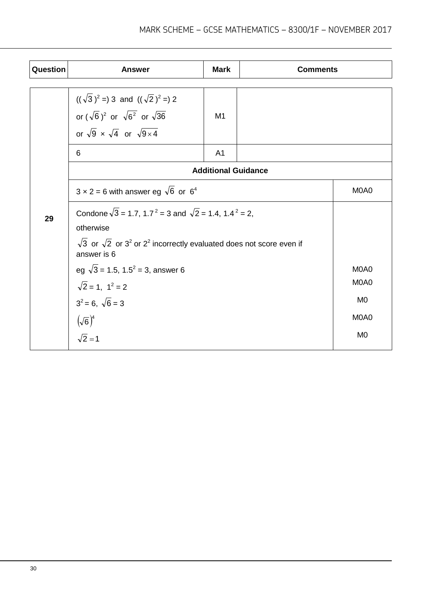| Question | <b>Answer</b>                                                                                                                                                                                                     | <b>Mark</b>                | <b>Comments</b>               |                |  |
|----------|-------------------------------------------------------------------------------------------------------------------------------------------------------------------------------------------------------------------|----------------------------|-------------------------------|----------------|--|
|          | $((\sqrt{3})^2 = 3$ and $((\sqrt{2})^2 = 2)$<br>or $(\sqrt{6})^2$ or $\sqrt{6^2}$ or $\sqrt{36}$<br>or $\sqrt{9} \times \sqrt{4}$ or $\sqrt{9 \times 4}$                                                          | M1                         |                               |                |  |
|          | 6                                                                                                                                                                                                                 | A <sub>1</sub>             |                               |                |  |
|          |                                                                                                                                                                                                                   | <b>Additional Guidance</b> |                               |                |  |
|          | $3 \times 2 = 6$ with answer eg $\sqrt{6}$ or $6^4$                                                                                                                                                               | M0A0                       |                               |                |  |
| 29       | Condone $\sqrt{3}$ = 1.7, 1.7 <sup>2</sup> = 3 and $\sqrt{2}$ = 1.4, 1.4 <sup>2</sup> = 2,<br>otherwise<br>$\sqrt{3}$ or $\sqrt{2}$ or $3^2$ or $2^2$ incorrectly evaluated does not score even if<br>answer is 6 |                            |                               |                |  |
|          | eg $\sqrt{3}$ = 1.5, 1.5 <sup>2</sup> = 3, answer 6                                                                                                                                                               |                            | M <sub>0</sub> A <sub>0</sub> |                |  |
|          | $\sqrt{2}$ = 1, 1 <sup>2</sup> = 2                                                                                                                                                                                |                            | M <sub>0</sub> A <sub>0</sub> |                |  |
|          | $3^2 = 6$ , $\sqrt{6} = 3$                                                                                                                                                                                        |                            |                               | M <sub>0</sub> |  |
|          | $(\sqrt{6})^4$                                                                                                                                                                                                    |                            | M0A0                          |                |  |
|          | $\sqrt{2}=1$                                                                                                                                                                                                      |                            | M <sub>0</sub>                |                |  |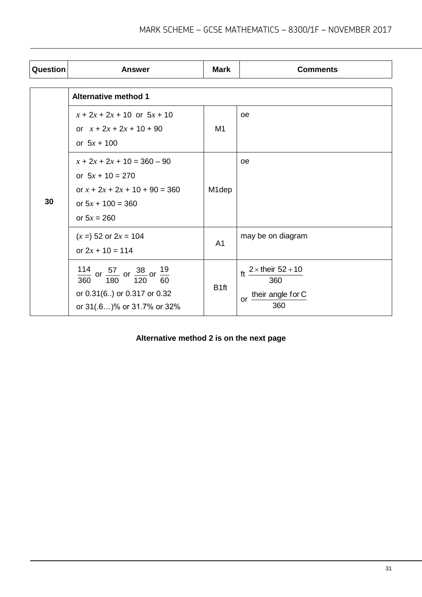| Question | <b>Answer</b>                                                                                                                                              | <b>Mark</b>        | <b>Comments</b>                                                                  |
|----------|------------------------------------------------------------------------------------------------------------------------------------------------------------|--------------------|----------------------------------------------------------------------------------|
|          | <b>Alternative method 1</b>                                                                                                                                |                    |                                                                                  |
| 30       | $x + 2x + 2x + 10$ or $5x + 10$<br>or $x + 2x + 2x + 10 + 90$<br>or $5x + 100$                                                                             | M1                 | <b>oe</b>                                                                        |
|          | $x + 2x + 2x + 10 = 360 - 90$<br>or $5x + 10 = 270$<br>or $x + 2x + 2x + 10 + 90 = 360$<br>or $5x + 100 = 360$<br>or $5x = 260$                            | M <sub>1</sub> dep | <b>oe</b>                                                                        |
|          | $(x = 52 \text{ or } 2x = 104$<br>or $2x + 10 = 114$                                                                                                       | A <sub>1</sub>     | may be on diagram                                                                |
|          | 114<br>$\frac{4}{0}$ or $\frac{57}{180}$ or $\frac{38}{120}$ or $\frac{19}{60}$<br>120<br>360<br>or 0.31(6) or 0.317 or 0.32<br>or 31(.6)% or 31.7% or 32% | B <sub>1ft</sub>   | $2 \times$ their $52 + 10$<br>ft<br>360<br>their angle for C<br><b>or</b><br>360 |

#### **Alternative method 2 is on the next page**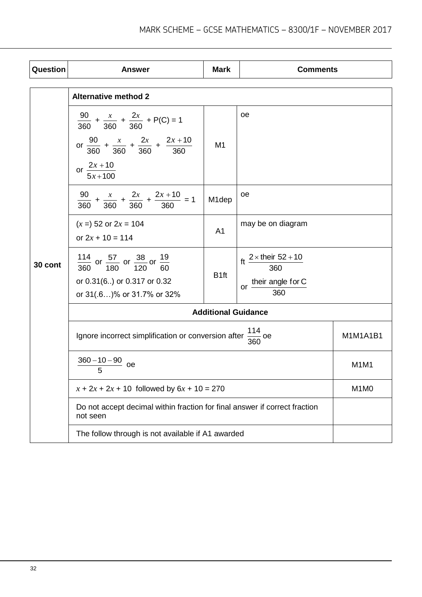| <b>Question</b> | <b>Answer</b>                                                                                                                                                                                          | <b>Mark</b>        | <b>Comments</b>                                                                              |                               |
|-----------------|--------------------------------------------------------------------------------------------------------------------------------------------------------------------------------------------------------|--------------------|----------------------------------------------------------------------------------------------|-------------------------------|
|                 |                                                                                                                                                                                                        |                    |                                                                                              |                               |
| 30 cont         | <b>Alternative method 2</b><br>$\frac{90}{360} + \frac{x}{360} + \frac{2x}{360} + P(C) = 1$<br>or $\frac{90}{360} + \frac{x}{360} + \frac{2x}{360} + \frac{2x + 10}{360}$<br>or $\frac{2x+10}{5x+100}$ | M <sub>1</sub>     | oe                                                                                           |                               |
|                 | $\frac{90}{360} + \frac{x}{360} + \frac{2x}{360} + \frac{2x + 10}{360} = 1$                                                                                                                            | M <sub>1</sub> dep | oе                                                                                           |                               |
|                 | $(x = 52$ or $2x = 104$<br>or $2x + 10 = 114$                                                                                                                                                          | A <sub>1</sub>     | may be on diagram                                                                            |                               |
|                 | $\frac{114}{360}$ or $\frac{57}{180}$ or $\frac{38}{120}$ or $\frac{19}{60}$<br>or 0.31(6) or 0.317 or 0.32<br>or 31(.6)% or 31.7% or 32%                                                              | B <sub>1ft</sub>   | ft $\frac{2 \times \text{their } 52 + 10}{360}$<br>or $\frac{\text{their angle for C}}{360}$ |                               |
|                 | <b>Additional Guidance</b>                                                                                                                                                                             |                    |                                                                                              |                               |
|                 | 114<br>Ignore incorrect simplification or conversion after $\frac{1}{360}$ oe                                                                                                                          |                    |                                                                                              | M1M1A1B1                      |
|                 | $\frac{360-10-90}{5}$ oe                                                                                                                                                                               |                    |                                                                                              | M <sub>1</sub> M <sub>1</sub> |
|                 | $x + 2x + 2x + 10$ followed by $6x + 10 = 270$                                                                                                                                                         |                    |                                                                                              | M <sub>1</sub> M <sub>0</sub> |
|                 | Do not accept decimal within fraction for final answer if correct fraction<br>not seen                                                                                                                 |                    |                                                                                              |                               |
|                 | The follow through is not available if A1 awarded                                                                                                                                                      |                    |                                                                                              |                               |